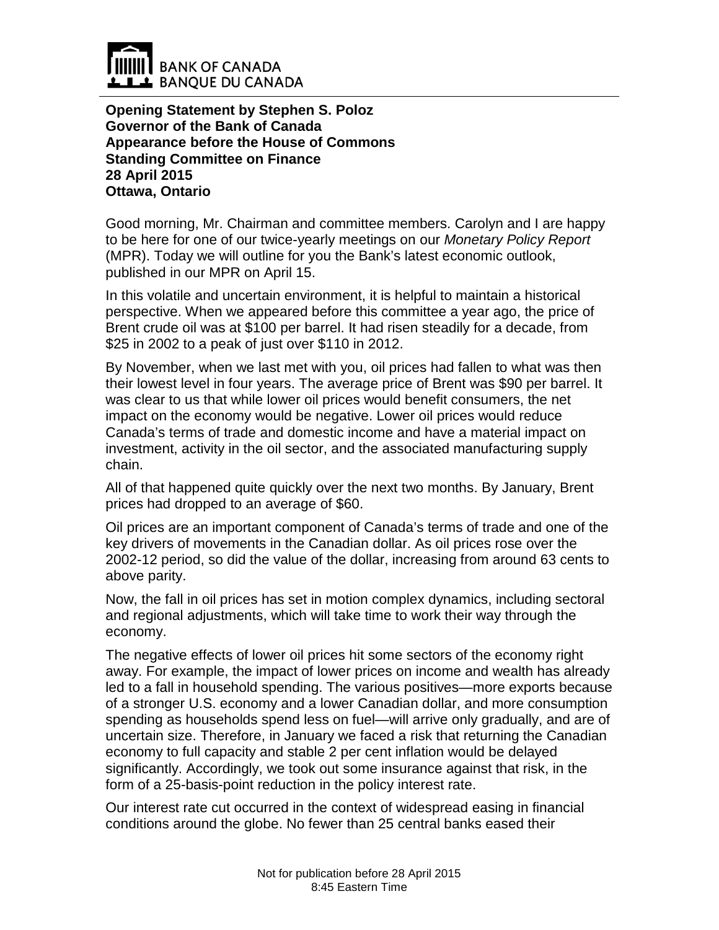

**Opening Statement by Stephen S. Poloz Governor of the Bank of Canada Appearance before the House of Commons Standing Committee on Finance 28 April 2015 Ottawa, Ontario**

Good morning, Mr. Chairman and committee members. Carolyn and I are happy to be here for one of our twice-yearly meetings on our *Monetary Policy Report* (MPR). Today we will outline for you the Bank's latest economic outlook, published in our MPR on April 15.

In this volatile and uncertain environment, it is helpful to maintain a historical perspective. When we appeared before this committee a year ago, the price of Brent crude oil was at \$100 per barrel. It had risen steadily for a decade, from \$25 in 2002 to a peak of just over \$110 in 2012.

By November, when we last met with you, oil prices had fallen to what was then their lowest level in four years. The average price of Brent was \$90 per barrel. It was clear to us that while lower oil prices would benefit consumers, the net impact on the economy would be negative. Lower oil prices would reduce Canada's terms of trade and domestic income and have a material impact on investment, activity in the oil sector, and the associated manufacturing supply chain.

All of that happened quite quickly over the next two months. By January, Brent prices had dropped to an average of \$60.

Oil prices are an important component of Canada's terms of trade and one of the key drivers of movements in the Canadian dollar. As oil prices rose over the 2002-12 period, so did the value of the dollar, increasing from around 63 cents to above parity.

Now, the fall in oil prices has set in motion complex dynamics, including sectoral and regional adjustments, which will take time to work their way through the economy.

The negative effects of lower oil prices hit some sectors of the economy right away. For example, the impact of lower prices on income and wealth has already led to a fall in household spending. The various positives—more exports because of a stronger U.S. economy and a lower Canadian dollar, and more consumption spending as households spend less on fuel—will arrive only gradually, and are of uncertain size. Therefore, in January we faced a risk that returning the Canadian economy to full capacity and stable 2 per cent inflation would be delayed significantly. Accordingly, we took out some insurance against that risk, in the form of a 25-basis-point reduction in the policy interest rate.

Our interest rate cut occurred in the context of widespread easing in financial conditions around the globe. No fewer than 25 central banks eased their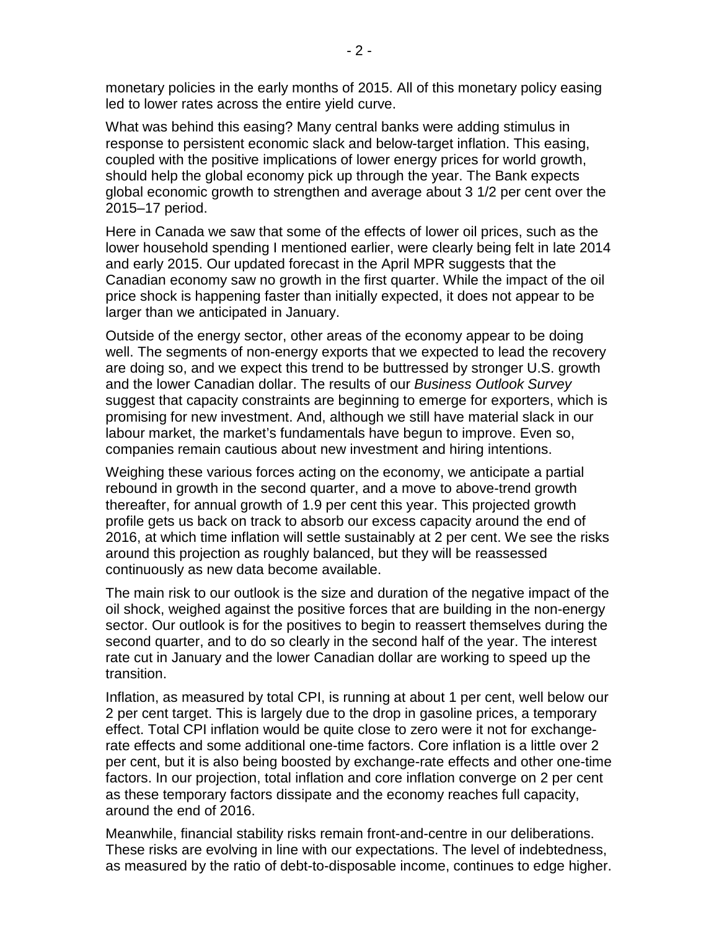monetary policies in the early months of 2015. All of this monetary policy easing led to lower rates across the entire yield curve.

What was behind this easing? Many central banks were adding stimulus in response to persistent economic slack and below-target inflation. This easing, coupled with the positive implications of lower energy prices for world growth, should help the global economy pick up through the year. The Bank expects global economic growth to strengthen and average about 3 1/2 per cent over the 2015–17 period.

Here in Canada we saw that some of the effects of lower oil prices, such as the lower household spending I mentioned earlier, were clearly being felt in late 2014 and early 2015. Our updated forecast in the April MPR suggests that the Canadian economy saw no growth in the first quarter. While the impact of the oil price shock is happening faster than initially expected, it does not appear to be larger than we anticipated in January.

Outside of the energy sector, other areas of the economy appear to be doing well. The segments of non-energy exports that we expected to lead the recovery are doing so, and we expect this trend to be buttressed by stronger U.S. growth and the lower Canadian dollar. The results of our *Business Outlook Survey* suggest that capacity constraints are beginning to emerge for exporters, which is promising for new investment. And, although we still have material slack in our labour market, the market's fundamentals have begun to improve. Even so, companies remain cautious about new investment and hiring intentions.

Weighing these various forces acting on the economy, we anticipate a partial rebound in growth in the second quarter, and a move to above-trend growth thereafter, for annual growth of 1.9 per cent this year. This projected growth profile gets us back on track to absorb our excess capacity around the end of 2016, at which time inflation will settle sustainably at 2 per cent. We see the risks around this projection as roughly balanced, but they will be reassessed continuously as new data become available.

The main risk to our outlook is the size and duration of the negative impact of the oil shock, weighed against the positive forces that are building in the non-energy sector. Our outlook is for the positives to begin to reassert themselves during the second quarter, and to do so clearly in the second half of the year. The interest rate cut in January and the lower Canadian dollar are working to speed up the transition.

Inflation, as measured by total CPI, is running at about 1 per cent, well below our 2 per cent target. This is largely due to the drop in gasoline prices, a temporary effect. Total CPI inflation would be quite close to zero were it not for exchangerate effects and some additional one-time factors. Core inflation is a little over 2 per cent, but it is also being boosted by exchange-rate effects and other one-time factors. In our projection, total inflation and core inflation converge on 2 per cent as these temporary factors dissipate and the economy reaches full capacity, around the end of 2016.

Meanwhile, financial stability risks remain front-and-centre in our deliberations. These risks are evolving in line with our expectations. The level of indebtedness, as measured by the ratio of debt-to-disposable income, continues to edge higher.